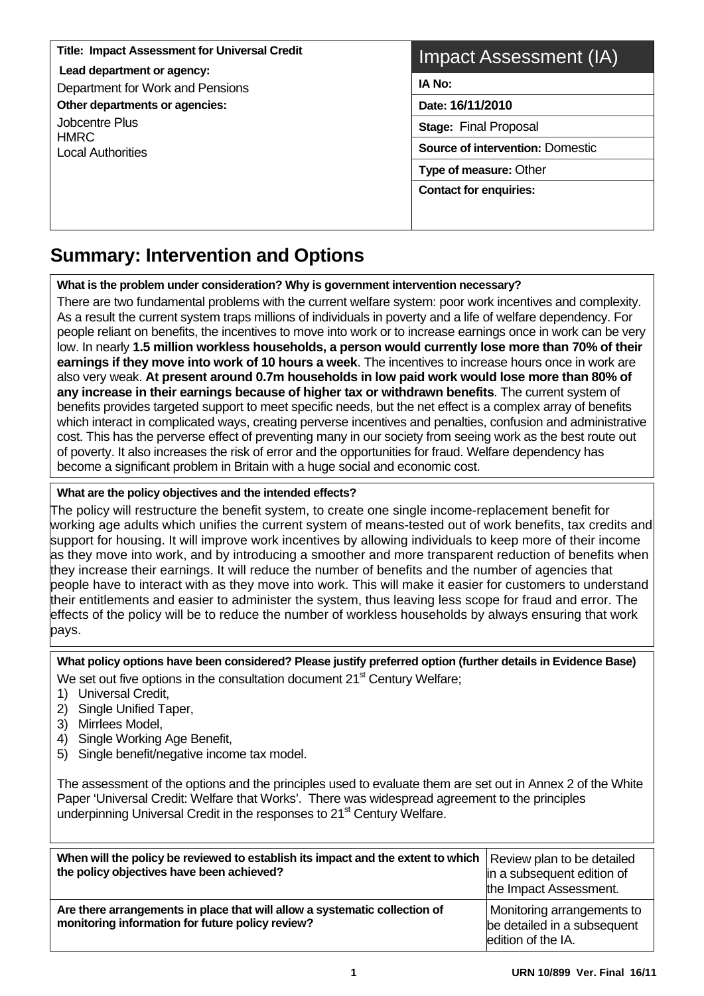**Title: Impact Assessment for Universal Credit Lead department or agency:**  Department for Work and Pensions **Other departments or agencies:**  Jobcentre Plus HMRC Local Authorities **IA No:** 

### Impact Assessment (IA)

**Date: 16/11/2010** 

**Stage:** Final Proposal

**Source of intervention:** Domestic

**Type of measure:** Other

**Contact for enquiries:** 

#### **Summary: Intervention and Options**   $\overline{a}$

**What is the problem under consideration? Why is government intervention necessary?** 

There are two fundamental problems with the current welfare system: poor work incentives and complexity. As a result the current system traps millions of individuals in poverty and a life of welfare dependency. For people reliant on benefits, the incentives to move into work or to increase earnings once in work can be very low. In nearly **1.5 million workless households, a person would currently lose more than 70% of their earnings if they move into work of 10 hours a week**. The incentives to increase hours once in work are also very weak. **At present around 0.7m households in low paid work would lose more than 80% of any increase in their earnings because of higher tax or withdrawn benefits**. The current system of benefits provides targeted support to meet specific needs, but the net effect is a complex array of benefits which interact in complicated ways, creating perverse incentives and penalties, confusion and administrative cost. This has the perverse effect of preventing many in our society from seeing work as the best route out of poverty. It also increases the risk of error and the opportunities for fraud. Welfare dependency has become a significant problem in Britain with a huge social and economic cost.

#### **What are the policy objectives and the intended effects?**

The policy will restructure the benefit system, to create one single income-replacement benefit for working age adults which unifies the current system of means-tested out of work benefits, tax credits and support for housing. It will improve work incentives by allowing individuals to keep more of their income as they move into work, and by introducing a smoother and more transparent reduction of benefits when they increase their earnings. It will reduce the number of benefits and the number of agencies that people have to interact with as they move into work. This will make it easier for customers to understand their entitlements and easier to administer the system, thus leaving less scope for fraud and error. The effects of the policy will be to reduce the number of workless households by always ensuring that work pays.

**What policy options have been considered? Please justify preferred option (further details in Evidence Base)** 

We set out five options in the consultation document 21<sup>st</sup> Century Welfare;

- 1) Universal Credit,
- 2) Single Unified Taper,
- 3) Mirrlees Model,
- 4) Single Working Age Benefit,
- 5) Single benefit/negative income tax model.

The assessment of the options and the principles used to evaluate them are set out in Annex 2 of the White Paper 'Universal Credit: Welfare that Works'. There was widespread agreement to the principles underpinning Universal Credit in the responses to 21<sup>st</sup> Century Welfare.

| When will the policy be reviewed to establish its impact and the extent to which   Review plan to be detailed                  | in a subsequent edition of                                                      |
|--------------------------------------------------------------------------------------------------------------------------------|---------------------------------------------------------------------------------|
| the policy objectives have been achieved?                                                                                      | the Impact Assessment.                                                          |
| Are there arrangements in place that will allow a systematic collection of<br>monitoring information for future policy review? | Monitoring arrangements to<br>be detailed in a subsequent<br>edition of the IA. |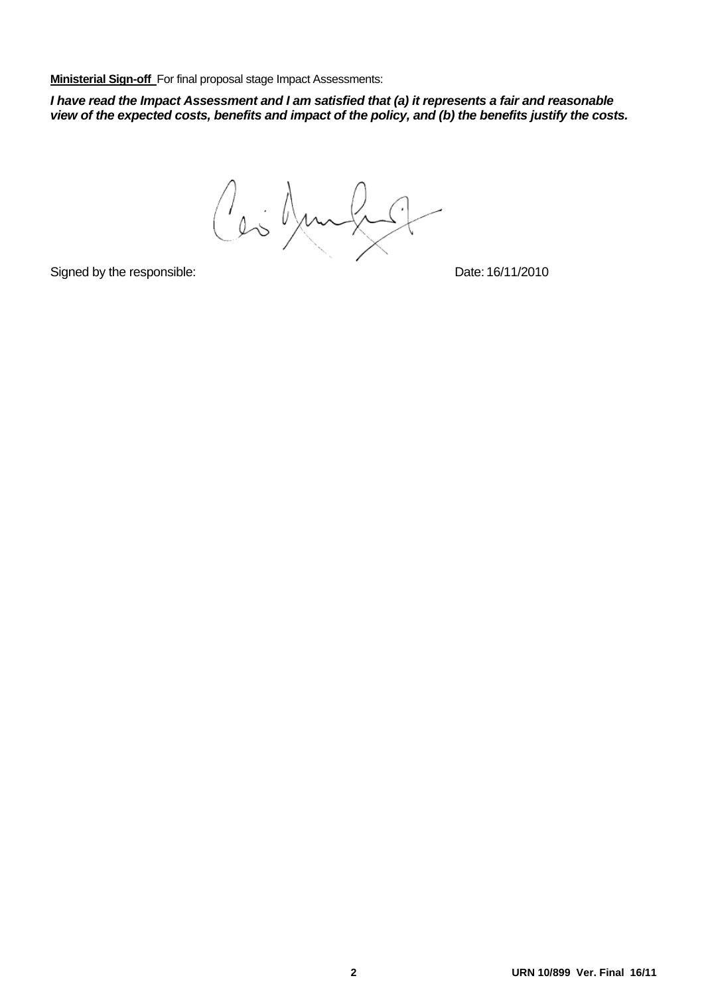**Ministerial Sign-off** For final proposal stage Impact Assessments:

*I have read the Impact Assessment and I am satisfied that (a) it represents a fair and reasonable view of the expected costs, benefits and impact of the policy, and (b) the benefits justify the costs.* 

Ces Junho

Signed by the responsible: Date: 16/11/2010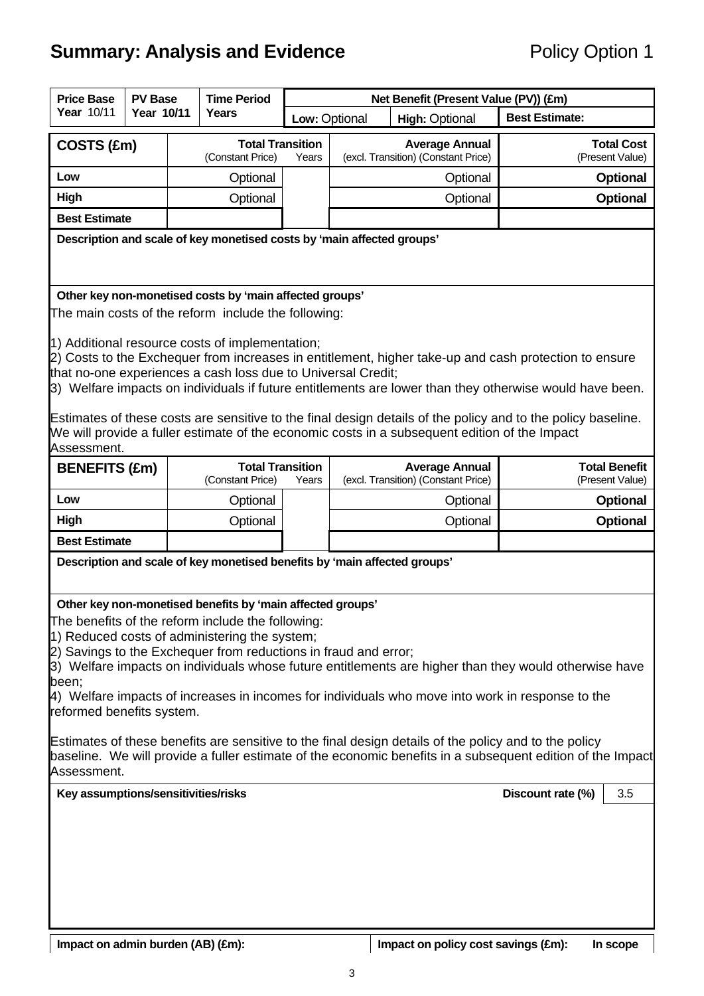# **Summary: Analysis and Evidence Policy Option 1**

| <b>Price Base</b>                                                                                                                                                                                                                                                                                                                                                                                                                                                                      | <b>PV Base</b>                                                         |  | <b>Time Period</b>                                                                                              |       | Net Benefit (Present Value (PV)) (£m) |                                                                                               |                                                                                                                                                                                                                                                                                                                                  |  |  |
|----------------------------------------------------------------------------------------------------------------------------------------------------------------------------------------------------------------------------------------------------------------------------------------------------------------------------------------------------------------------------------------------------------------------------------------------------------------------------------------|------------------------------------------------------------------------|--|-----------------------------------------------------------------------------------------------------------------|-------|---------------------------------------|-----------------------------------------------------------------------------------------------|----------------------------------------------------------------------------------------------------------------------------------------------------------------------------------------------------------------------------------------------------------------------------------------------------------------------------------|--|--|
| Year 10/11                                                                                                                                                                                                                                                                                                                                                                                                                                                                             | <b>Year 10/11</b>                                                      |  | Years                                                                                                           |       | Low: Optional                         | <b>High: Optional</b>                                                                         | <b>Best Estimate:</b>                                                                                                                                                                                                                                                                                                            |  |  |
| COSTS (£m)                                                                                                                                                                                                                                                                                                                                                                                                                                                                             |                                                                        |  | <b>Total Transition</b><br>(Constant Price)                                                                     | Years |                                       | <b>Average Annual</b><br>(excl. Transition) (Constant Price)                                  | <b>Total Cost</b><br>(Present Value)                                                                                                                                                                                                                                                                                             |  |  |
| Low                                                                                                                                                                                                                                                                                                                                                                                                                                                                                    |                                                                        |  | Optional                                                                                                        |       |                                       | Optional                                                                                      | <b>Optional</b>                                                                                                                                                                                                                                                                                                                  |  |  |
| High                                                                                                                                                                                                                                                                                                                                                                                                                                                                                   |                                                                        |  | Optional                                                                                                        |       | Optional                              |                                                                                               | <b>Optional</b>                                                                                                                                                                                                                                                                                                                  |  |  |
|                                                                                                                                                                                                                                                                                                                                                                                                                                                                                        | <b>Best Estimate</b>                                                   |  |                                                                                                                 |       |                                       |                                                                                               |                                                                                                                                                                                                                                                                                                                                  |  |  |
|                                                                                                                                                                                                                                                                                                                                                                                                                                                                                        | Description and scale of key monetised costs by 'main affected groups' |  |                                                                                                                 |       |                                       |                                                                                               |                                                                                                                                                                                                                                                                                                                                  |  |  |
|                                                                                                                                                                                                                                                                                                                                                                                                                                                                                        |                                                                        |  | Other key non-monetised costs by 'main affected groups'                                                         |       |                                       |                                                                                               |                                                                                                                                                                                                                                                                                                                                  |  |  |
|                                                                                                                                                                                                                                                                                                                                                                                                                                                                                        |                                                                        |  | The main costs of the reform include the following:                                                             |       |                                       |                                                                                               |                                                                                                                                                                                                                                                                                                                                  |  |  |
| Assessment.                                                                                                                                                                                                                                                                                                                                                                                                                                                                            |                                                                        |  | 1) Additional resource costs of implementation;<br>that no-one experiences a cash loss due to Universal Credit; |       |                                       | We will provide a fuller estimate of the economic costs in a subsequent edition of the Impact | 2) Costs to the Exchequer from increases in entitlement, higher take-up and cash protection to ensure<br>3) Welfare impacts on individuals if future entitlements are lower than they otherwise would have been.<br>Estimates of these costs are sensitive to the final design details of the policy and to the policy baseline. |  |  |
| <b>BENEFITS (£m)</b>                                                                                                                                                                                                                                                                                                                                                                                                                                                                   |                                                                        |  | <b>Total Transition</b><br>(Constant Price)                                                                     | Years |                                       | <b>Average Annual</b><br>(excl. Transition) (Constant Price)                                  | <b>Total Benefit</b><br>(Present Value)                                                                                                                                                                                                                                                                                          |  |  |
| Low                                                                                                                                                                                                                                                                                                                                                                                                                                                                                    |                                                                        |  | Optional                                                                                                        |       |                                       | Optional                                                                                      | <b>Optional</b>                                                                                                                                                                                                                                                                                                                  |  |  |
| <b>High</b>                                                                                                                                                                                                                                                                                                                                                                                                                                                                            |                                                                        |  | Optional                                                                                                        |       | Optional                              |                                                                                               | <b>Optional</b>                                                                                                                                                                                                                                                                                                                  |  |  |
| <b>Best Estimate</b>                                                                                                                                                                                                                                                                                                                                                                                                                                                                   |                                                                        |  |                                                                                                                 |       |                                       |                                                                                               |                                                                                                                                                                                                                                                                                                                                  |  |  |
|                                                                                                                                                                                                                                                                                                                                                                                                                                                                                        |                                                                        |  | Description and scale of key monetised benefits by 'main affected groups'                                       |       |                                       |                                                                                               |                                                                                                                                                                                                                                                                                                                                  |  |  |
| Other key non-monetised benefits by 'main affected groups'<br>The benefits of the reform include the following:<br>1) Reduced costs of administering the system;<br>2) Savings to the Exchequer from reductions in fraud and error;<br>3) Welfare impacts on individuals whose future entitlements are higher than they would otherwise have<br>been;<br>4) Welfare impacts of increases in incomes for individuals who move into work in response to the<br>reformed benefits system. |                                                                        |  |                                                                                                                 |       |                                       |                                                                                               |                                                                                                                                                                                                                                                                                                                                  |  |  |
| Estimates of these benefits are sensitive to the final design details of the policy and to the policy<br>baseline. We will provide a fuller estimate of the economic benefits in a subsequent edition of the Impact<br>Assessment.                                                                                                                                                                                                                                                     |                                                                        |  |                                                                                                                 |       |                                       |                                                                                               |                                                                                                                                                                                                                                                                                                                                  |  |  |
| Key assumptions/sensitivities/risks                                                                                                                                                                                                                                                                                                                                                                                                                                                    |                                                                        |  |                                                                                                                 |       |                                       |                                                                                               | Discount rate (%)<br>3.5                                                                                                                                                                                                                                                                                                         |  |  |
|                                                                                                                                                                                                                                                                                                                                                                                                                                                                                        |                                                                        |  |                                                                                                                 |       |                                       |                                                                                               |                                                                                                                                                                                                                                                                                                                                  |  |  |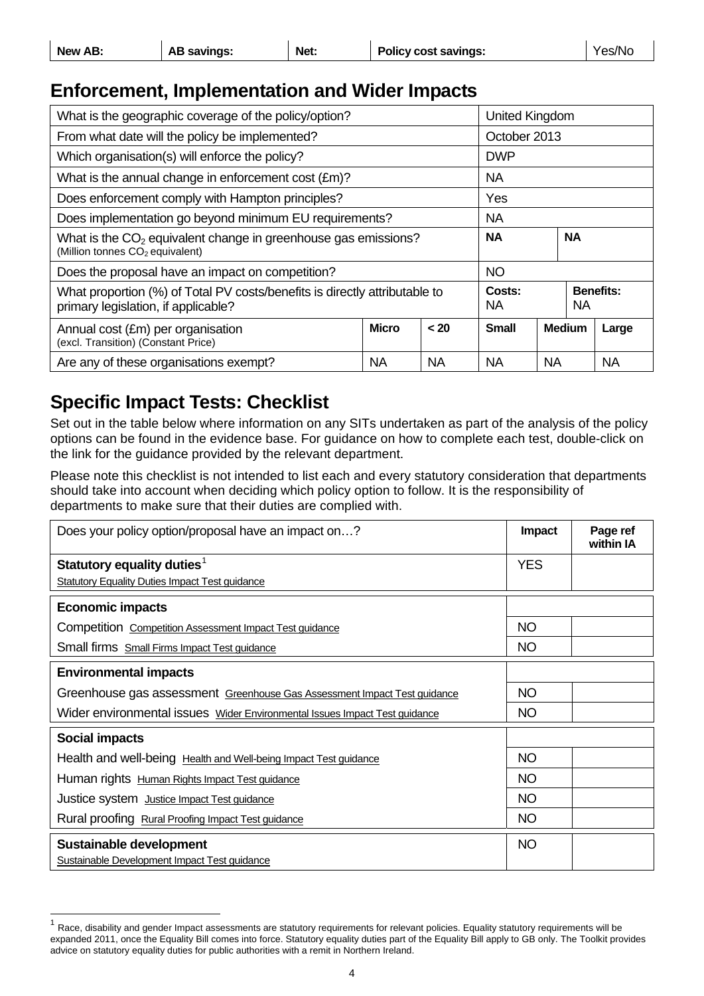| New AB: | <b>AB savings:</b> | Net: | <b>Policy cost savings:</b> | Yes/No |
|---------|--------------------|------|-----------------------------|--------|
|         |                    |      |                             |        |

### **Enforcement, Implementation and Wider Impacts**

| What is the geographic coverage of the policy/option?                                                             |              |           | <b>United Kingdom</b> |           |           |                  |
|-------------------------------------------------------------------------------------------------------------------|--------------|-----------|-----------------------|-----------|-----------|------------------|
| From what date will the policy be implemented?                                                                    |              |           | October 2013          |           |           |                  |
| Which organisation(s) will enforce the policy?                                                                    |              |           | <b>DWP</b>            |           |           |                  |
| What is the annual change in enforcement cost (£m)?                                                               |              |           | NA.                   |           |           |                  |
| Does enforcement comply with Hampton principles?                                                                  |              |           | Yes                   |           |           |                  |
| Does implementation go beyond minimum EU requirements?                                                            |              |           | <b>NA</b>             |           |           |                  |
| What is the $CO2$ equivalent change in greenhouse gas emissions?<br>(Million tonnes CO <sub>2</sub> equivalent)   |              |           | <b>NA</b>             |           | <b>NA</b> |                  |
| Does the proposal have an impact on competition?                                                                  |              |           | <b>NO</b>             |           |           |                  |
| What proportion (%) of Total PV costs/benefits is directly attributable to<br>primary legislation, if applicable? |              |           |                       |           | NA.       | <b>Benefits:</b> |
| Annual cost (£m) per organisation<br>(excl. Transition) (Constant Price)                                          | <b>Small</b> |           | <b>Medium</b>         | Large     |           |                  |
| Are any of these organisations exempt?                                                                            | <b>NA</b>    | <b>NA</b> | <b>NA</b>             | <b>NA</b> |           | <b>NA</b>        |

## **Specific Impact Tests: Checklist**

l

Set out in the table below where information on any SITs undertaken as part of the analysis of the policy options can be found in the evidence base. For guidance on how to complete each test, double-click on the link for the guidance provided by the relevant department.

Please note this checklist is not intended to list each and every statutory consideration that departments should take into account when deciding which policy option to follow. It is the responsibility of departments to make sure that their duties are complied with.

| Does your policy option/proposal have an impact on?                        | Impact     | Page ref<br>within IA |
|----------------------------------------------------------------------------|------------|-----------------------|
| Statutory equality duties <sup>1</sup>                                     | <b>YES</b> |                       |
| <b>Statutory Equality Duties Impact Test guidance</b>                      |            |                       |
| <b>Economic impacts</b>                                                    |            |                       |
| Competition Competition Assessment Impact Test guidance                    | <b>NO</b>  |                       |
| Small firms Small Firms Impact Test guidance                               | <b>NO</b>  |                       |
| <b>Environmental impacts</b>                                               |            |                       |
| Greenhouse gas assessment Greenhouse Gas Assessment Impact Test guidance   | NO.        |                       |
| Wider environmental issues Wider Environmental Issues Impact Test guidance | <b>NO</b>  |                       |
| <b>Social impacts</b>                                                      |            |                       |
| Health and well-being Health and Well-being Impact Test guidance           | <b>NO</b>  |                       |
| Human rights Human Rights Impact Test guidance                             | NO.        |                       |
| Justice system Justice Impact Test guidance                                | <b>NO</b>  |                       |
| Rural proofing Rural Proofing Impact Test guidance                         | <b>NO</b>  |                       |
| Sustainable development<br>Sustainable Development Impact Test guidance    | <b>NO</b>  |                       |

<span id="page-3-0"></span>Race, disability and gender Impact assessments are statutory requirements for relevant policies. Equality statutory requirements will be expanded 2011, once the Equality Bill comes into force. Statutory equality duties part of the Equality Bill apply to GB only. The Toolkit provides advice on statutory equality duties for public authorities with a remit in Northern Ireland.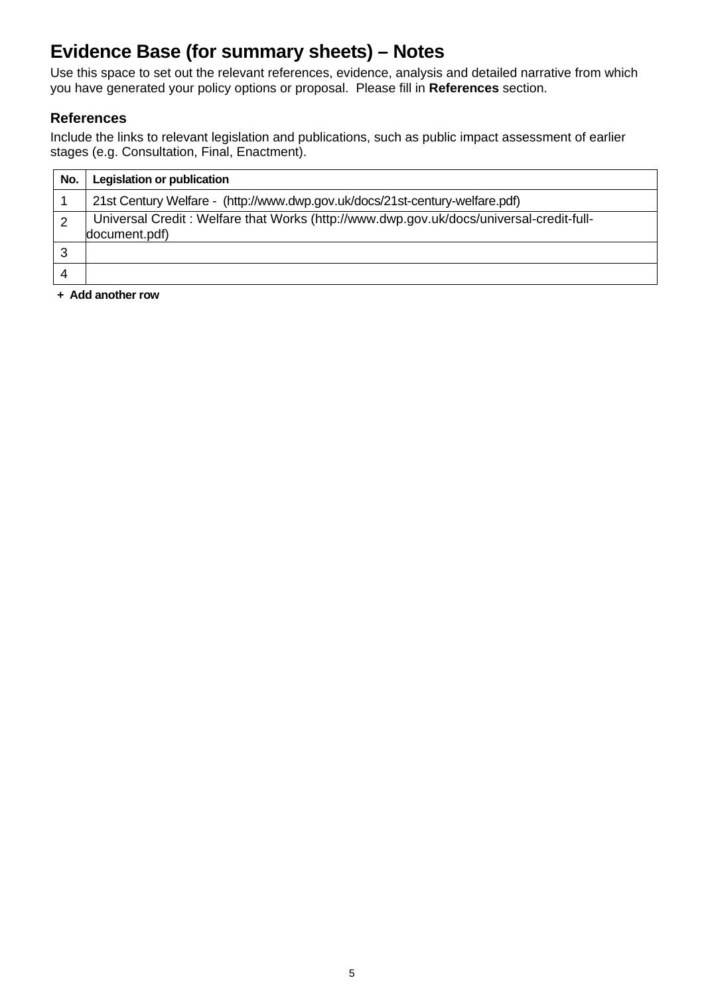## **Evidence Base (for summary sheets) – Notes**

Use this space to set out the relevant references, evidence, analysis and detailed narrative from which you have generated your policy options or proposal. Please fill in **References** section.

#### **References**

Include the links to relevant legislation and publications, such as public impact assessment of earlier stages (e.g. Consultation, Final, Enactment).

| No. | <b>Legislation or publication</b>                                                                        |
|-----|----------------------------------------------------------------------------------------------------------|
|     | 21st Century Welfare - (http://www.dwp.gov.uk/docs/21st-century-welfare.pdf)                             |
|     | Universal Credit: Welfare that Works (http://www.dwp.gov.uk/docs/universal-credit-full-<br>document.pdf) |
|     |                                                                                                          |
|     |                                                                                                          |

**+ Add another row**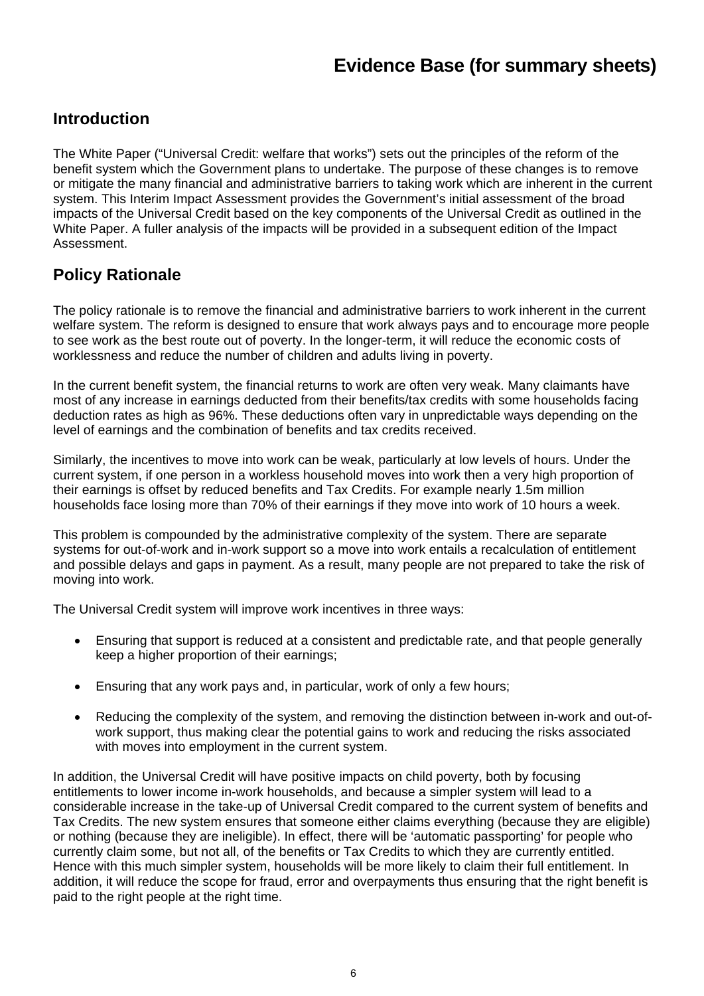## **Evidence Base (for summary sheets)**

### **Introduction**

The White Paper ("Universal Credit: welfare that works") sets out the principles of the reform of the benefit system which the Government plans to undertake. The purpose of these changes is to remove or mitigate the many financial and administrative barriers to taking work which are inherent in the current system. This Interim Impact Assessment provides the Government's initial assessment of the broad impacts of the Universal Credit based on the key components of the Universal Credit as outlined in the White Paper. A fuller analysis of the impacts will be provided in a subsequent edition of the Impact Assessment.

### **Policy Rationale**

The policy rationale is to remove the financial and administrative barriers to work inherent in the current welfare system. The reform is designed to ensure that work always pays and to encourage more people to see work as the best route out of poverty. In the longer-term, it will reduce the economic costs of worklessness and reduce the number of children and adults living in poverty.

In the current benefit system, the financial returns to work are often very weak. Many claimants have most of any increase in earnings deducted from their benefits/tax credits with some households facing deduction rates as high as 96%. These deductions often vary in unpredictable ways depending on the level of earnings and the combination of benefits and tax credits received.

Similarly, the incentives to move into work can be weak, particularly at low levels of hours. Under the current system, if one person in a workless household moves into work then a very high proportion of their earnings is offset by reduced benefits and Tax Credits. For example nearly 1.5m million households face losing more than 70% of their earnings if they move into work of 10 hours a week.

This problem is compounded by the administrative complexity of the system. There are separate systems for out-of-work and in-work support so a move into work entails a recalculation of entitlement and possible delays and gaps in payment. As a result, many people are not prepared to take the risk of moving into work.

The Universal Credit system will improve work incentives in three ways:

- Ensuring that support is reduced at a consistent and predictable rate, and that people generally keep a higher proportion of their earnings;
- Ensuring that any work pays and, in particular, work of only a few hours;
- Reducing the complexity of the system, and removing the distinction between in-work and out-ofwork support, thus making clear the potential gains to work and reducing the risks associated with moves into employment in the current system.

In addition, the Universal Credit will have positive impacts on child poverty, both by focusing entitlements to lower income in-work households, and because a simpler system will lead to a considerable increase in the take-up of Universal Credit compared to the current system of benefits and Tax Credits. The new system ensures that someone either claims everything (because they are eligible) or nothing (because they are ineligible). In effect, there will be 'automatic passporting' for people who currently claim some, but not all, of the benefits or Tax Credits to which they are currently entitled. Hence with this much simpler system, households will be more likely to claim their full entitlement. In addition, it will reduce the scope for fraud, error and overpayments thus ensuring that the right benefit is paid to the right people at the right time.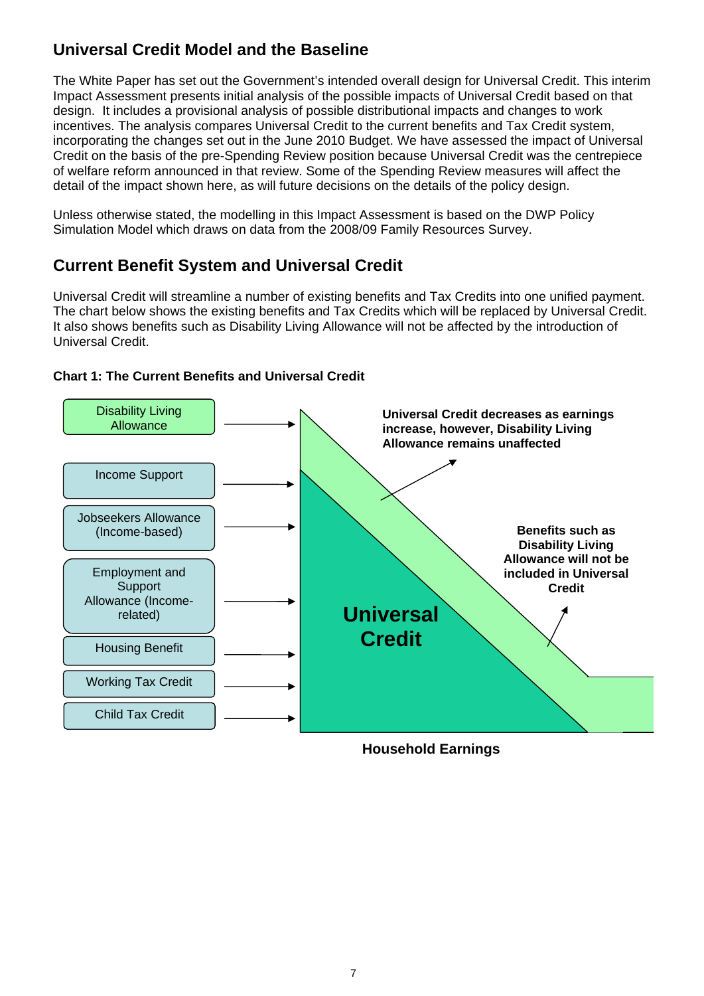### **Universal Credit Model and the Baseline**

The White Paper has set out the Government's intended overall design for Universal Credit. This interim Impact Assessment presents initial analysis of the possible impacts of Universal Credit based on that design. It includes a provisional analysis of possible distributional impacts and changes to work incentives. The analysis compares Universal Credit to the current benefits and Tax Credit system, incorporating the changes set out in the June 2010 Budget. We have assessed the impact of Universal Credit on the basis of the pre-Spending Review position because Universal Credit was the centrepiece of welfare reform announced in that review. Some of the Spending Review measures will affect the detail of the impact shown here, as will future decisions on the details of the policy design.

Unless otherwise stated, the modelling in this Impact Assessment is based on the DWP Policy Simulation Model which draws on data from the 2008/09 Family Resources Survey.

### **Current Benefit System and Universal Credit**

Universal Credit will streamline a number of existing benefits and Tax Credits into one unified payment. The chart below shows the existing benefits and Tax Credits which will be replaced by Universal Credit. It also shows benefits such as Disability Living Allowance will not be affected by the introduction of Universal Credit.



#### **Chart 1: The Current Benefits and Universal Credit**

**Household Earnings**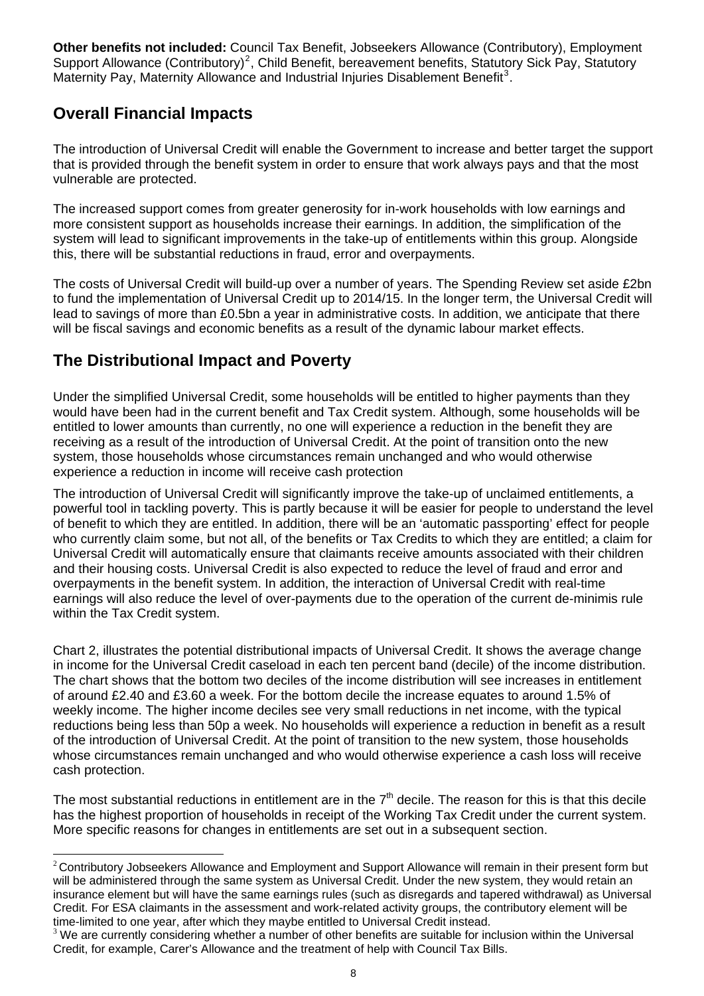**Other benefits not included:** Council Tax Benefit, Jobseekers Allowance (Contributory), Employment Support Allowance (Contributory)<sup>[2](#page-7-0)</sup>, Child Benefit, bereavement benefits, Statutory Sick Pay, Statutory Maternity Pay, Maternity Allowance and Industrial Injuries Disablement Benefit<sup>[3](#page-7-1)</sup>.

### **Overall Financial Impacts**

The introduction of Universal Credit will enable the Government to increase and better target the support that is provided through the benefit system in order to ensure that work always pays and that the most vulnerable are protected.

The increased support comes from greater generosity for in-work households with low earnings and more consistent support as households increase their earnings. In addition, the simplification of the system will lead to significant improvements in the take-up of entitlements within this group. Alongside this, there will be substantial reductions in fraud, error and overpayments.

The costs of Universal Credit will build-up over a number of years. The Spending Review set aside £2bn to fund the implementation of Universal Credit up to 2014/15. In the longer term, the Universal Credit will lead to savings of more than £0.5bn a year in administrative costs. In addition, we anticipate that there will be fiscal savings and economic benefits as a result of the dynamic labour market effects.

### **The Distributional Impact and Poverty**

Under the simplified Universal Credit, some households will be entitled to higher payments than they would have been had in the current benefit and Tax Credit system. Although, some households will be entitled to lower amounts than currently, no one will experience a reduction in the benefit they are receiving as a result of the introduction of Universal Credit. At the point of transition onto the new system, those households whose circumstances remain unchanged and who would otherwise experience a reduction in income will receive cash protection

The introduction of Universal Credit will significantly improve the take-up of unclaimed entitlements, a powerful tool in tackling poverty. This is partly because it will be easier for people to understand the level of benefit to which they are entitled. In addition, there will be an 'automatic passporting' effect for people who currently claim some, but not all, of the benefits or Tax Credits to which they are entitled; a claim for Universal Credit will automatically ensure that claimants receive amounts associated with their children and their housing costs. Universal Credit is also expected to reduce the level of fraud and error and overpayments in the benefit system. In addition, the interaction of Universal Credit with real-time earnings will also reduce the level of over-payments due to the operation of the current de-minimis rule within the Tax Credit system.

Chart 2, illustrates the potential distributional impacts of Universal Credit. It shows the average change in income for the Universal Credit caseload in each ten percent band (decile) of the income distribution. The chart shows that the bottom two deciles of the income distribution will see increases in entitlement of around £2.40 and £3.60 a week. For the bottom decile the increase equates to around 1.5% of weekly income. The higher income deciles see very small reductions in net income, with the typical reductions being less than 50p a week. No households will experience a reduction in benefit as a result of the introduction of Universal Credit. At the point of transition to the new system, those households whose circumstances remain unchanged and who would otherwise experience a cash loss will receive cash protection.

The most substantial reductions in entitlement are in the  $7<sup>th</sup>$  decile. The reason for this is that this decile has the highest proportion of households in receipt of the Working Tax Credit under the current system. More specific reasons for changes in entitlements are set out in a subsequent section.

<span id="page-7-0"></span><sup>1</sup> <sup>2</sup> Contributory Jobseekers Allowance and Employment and Support Allowance will remain in their present form but will be administered through the same system as Universal Credit. Under the new system, they would retain an insurance element but will have the same earnings rules (such as disregards and tapered withdrawal) as Universal Credit. For ESA claimants in the assessment and work-related activity groups, the contributory element will be

<span id="page-7-1"></span>time-limited to one year, after which they maybe entitled to Universal Credit instead.<br><sup>3</sup> We are currently considering whether a number of other benefits are suitable for inclusion within the Universal Credit, for example, Carer's Allowance and the treatment of help with Council Tax Bills.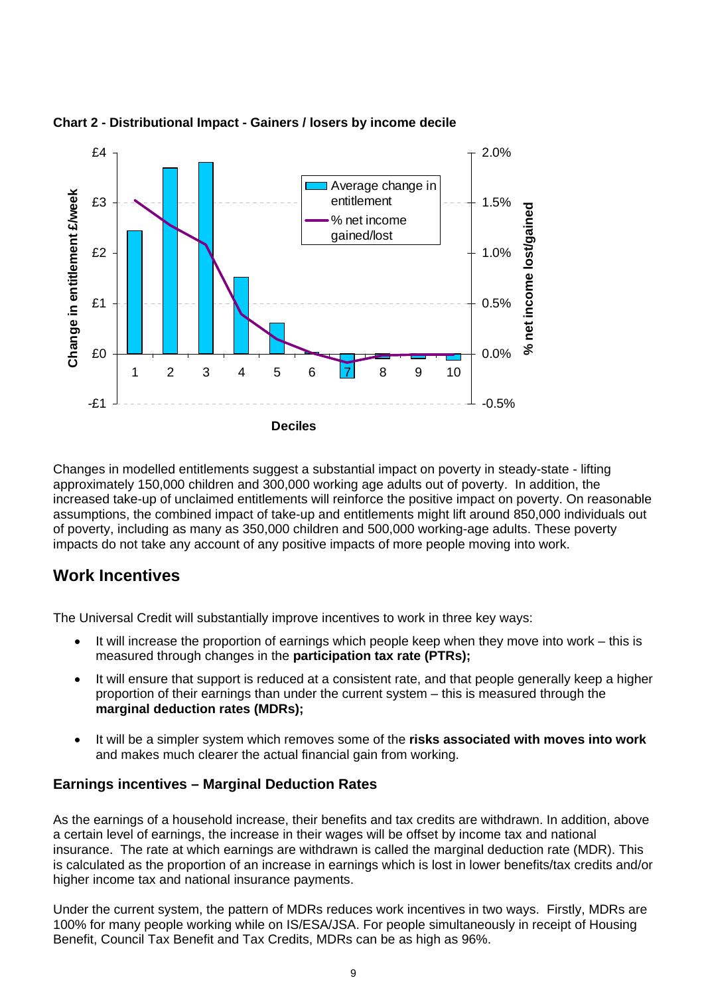

**Chart 2 - Distributional Impact - Gainers / losers by income decile** 

Changes in modelled entitlements suggest a substantial impact on poverty in steady-state - lifting approximately 150,000 children and 300,000 working age adults out of poverty. In addition, the increased take-up of unclaimed entitlements will reinforce the positive impact on poverty. On reasonable assumptions, the combined impact of take-up and entitlements might lift around 850,000 individuals out of poverty, including as many as 350,000 children and 500,000 working-age adults. These poverty impacts do not take any account of any positive impacts of more people moving into work.

### **Work Incentives**

The Universal Credit will substantially improve incentives to work in three key ways:

- It will increase the proportion of earnings which people keep when they move into work this is measured through changes in the **participation tax rate (PTRs);**
- It will ensure that support is reduced at a consistent rate, and that people generally keep a higher proportion of their earnings than under the current system – this is measured through the **marginal deduction rates (MDRs);**
- It will be a simpler system which removes some of the **risks associated with moves into work** and makes much clearer the actual financial gain from working.

#### **Earnings incentives – Marginal Deduction Rates**

As the earnings of a household increase, their benefits and tax credits are withdrawn. In addition, above a certain level of earnings, the increase in their wages will be offset by income tax and national insurance. The rate at which earnings are withdrawn is called the marginal deduction rate (MDR). This is calculated as the proportion of an increase in earnings which is lost in lower benefits/tax credits and/or higher income tax and national insurance payments.

Under the current system, the pattern of MDRs reduces work incentives in two ways. Firstly, MDRs are 100% for many people working while on IS/ESA/JSA. For people simultaneously in receipt of Housing Benefit, Council Tax Benefit and Tax Credits, MDRs can be as high as 96%.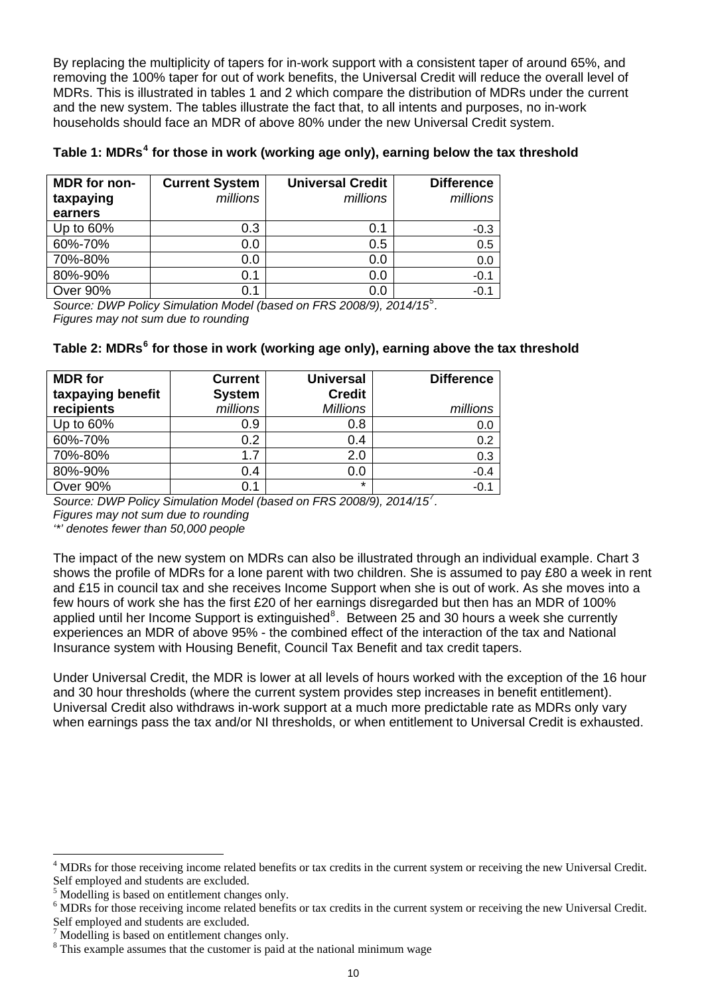By replacing the multiplicity of tapers for in-work support with a consistent taper of around 65%, and removing the 100% taper for out of work benefits, the Universal Credit will reduce the overall level of MDRs. This is illustrated in tables 1 and 2 which compare the distribution of MDRs under the current and the new system. The tables illustrate the fact that, to all intents and purposes, no in-work households should face an MDR of above 80% under the new Universal Credit system.

**Table 1: MDRs[4](#page-9-0) for those in work (working age only), earning below the tax threshold** 

| MDR for non-<br>taxpaying | <b>Current System</b><br>millions | <b>Universal Credit</b><br>millions | <b>Difference</b><br>millions |
|---------------------------|-----------------------------------|-------------------------------------|-------------------------------|
| earners                   |                                   |                                     |                               |
| Up to $60\%$              | 0.3                               | 0.1                                 | $-0.3$                        |
| 60%-70%                   | 0.0                               | 0.5                                 | 0.5                           |
| 70%-80%                   | 0.0                               | 0.0                                 | 0.0                           |
| 80%-90%                   | 0.1                               | 0.0                                 | $-0.1$                        |
| Over 90%                  | 0.1                               | 0.0                                 | $-0.1$                        |

*Source: DWP Policy Simulation Model (based on FRS 2008/9), 2014/15[5](#page-9-1) . Figures may not sum due to rounding* 

| Table 2: MDRs <sup>6</sup> for those in work (working age only), earning above the tax threshold |  |  |
|--------------------------------------------------------------------------------------------------|--|--|
|--------------------------------------------------------------------------------------------------|--|--|

| <b>MDR</b> for<br>taxpaying benefit | <b>Current</b><br><b>System</b> | <b>Universal</b><br><b>Credit</b> | <b>Difference</b> |
|-------------------------------------|---------------------------------|-----------------------------------|-------------------|
| recipients                          | millions                        | <b>Millions</b>                   | millions          |
| Up to 60%                           | 0.9                             | 0.8                               | 0.0               |
| 60%-70%                             | 0.2                             | 0.4                               | 0.2               |
| 70%-80%                             | 1.7                             | 2.0                               | 0.3               |
| 80%-90%                             | 0.4                             | 0.0                               | $-0.4$            |
| <b>Over 90%</b>                     | 0.1                             | $\star$                           | $-0.1$            |

*Source: DWP Policy Simulation Model (based on FRS 2008/9), 2014/15[7](#page-9-3) . Figures may not sum due to rounding* 

*'\*' denotes fewer than 50,000 people* 

The impact of the new system on MDRs can also be illustrated through an individual example. Chart 3 shows the profile of MDRs for a lone parent with two children. She is assumed to pay £80 a week in rent and £15 in council tax and she receives Income Support when she is out of work. As she moves into a few hours of work she has the first £20 of her earnings disregarded but then has an MDR of 100% applied until her Income Support is extinguished $8$ . Between 25 and 30 hours a week she currently experiences an MDR of above 95% - the combined effect of the interaction of the tax and National Insurance system with Housing Benefit, Council Tax Benefit and tax credit tapers.

Under Universal Credit, the MDR is lower at all levels of hours worked with the exception of the 16 hour and 30 hour thresholds (where the current system provides step increases in benefit entitlement). Universal Credit also withdraws in-work support at a much more predictable rate as MDRs only vary when earnings pass the tax and/or NI thresholds, or when entitlement to Universal Credit is exhausted.

1

<span id="page-9-0"></span><sup>&</sup>lt;sup>4</sup> MDRs for those receiving income related benefits or tax credits in the current system or receiving the new Universal Credit. Self employed and students are excluded.

<span id="page-9-1"></span><sup>5</sup> Modelling is based on entitlement changes only.

<span id="page-9-2"></span><sup>&</sup>lt;sup>6</sup> MDRs for those receiving income related benefits or tax credits in the current system or receiving the new Universal Credit. Self employed and students are excluded.

<span id="page-9-3"></span><sup>7</sup> Modelling is based on entitlement changes only.

<span id="page-9-4"></span><sup>&</sup>lt;sup>8</sup> This example assumes that the customer is paid at the national minimum wage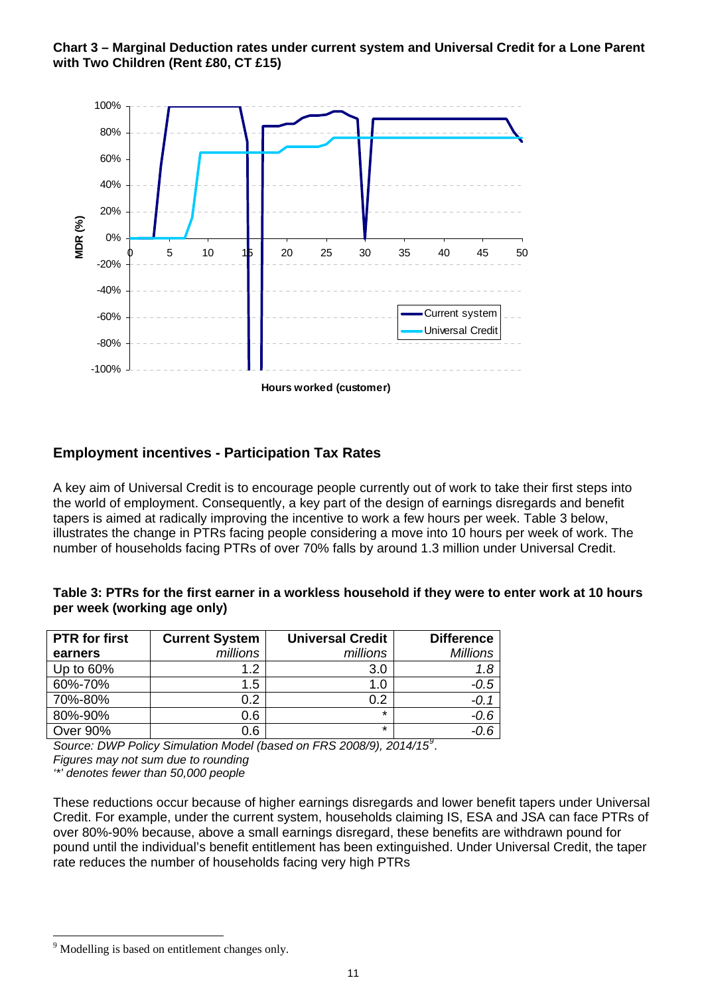**Chart 3 – Marginal Deduction rates under current system and Universal Credit for a Lone Parent with Two Children (Rent £80, CT £15)** 



#### **Employment incentives - Participation Tax Rates**

A key aim of Universal Credit is to encourage people currently out of work to take their first steps into the world of employment. Consequently, a key part of the design of earnings disregards and benefit tapers is aimed at radically improving the incentive to work a few hours per week. Table 3 below, illustrates the change in PTRs facing people considering a move into 10 hours per week of work. The number of households facing PTRs of over 70% falls by around 1.3 million under Universal Credit.

| Table 3: PTRs for the first earner in a workless household if they were to enter work at 10 hours |  |
|---------------------------------------------------------------------------------------------------|--|
| per week (working age only)                                                                       |  |

| <b>PTR</b> for first | <b>Current System</b> | <b>Universal Credit</b> | <b>Difference</b> |
|----------------------|-----------------------|-------------------------|-------------------|
| earners              | millions              | millions                | <b>Millions</b>   |
| Up to 60%            | 1.2                   | 3.0                     | 1.8               |
| 60%-70%              | 1.5                   | 1.0                     | $-0.5$            |
| 70%-80%              | 0.2                   | 0.2                     | $-0.1$            |
| 80%-90%              | 0.6                   | $\star$                 | $-0.6$            |
| Over 90%             | 0.6                   | ÷                       |                   |

*Source: DWP Policy Simulation Model (based on FRS 2008/9), 2014/15[9](#page-10-0) .* 

*Figures may not sum due to rounding* 

*'\*' denotes fewer than 50,000 people* 

These reductions occur because of higher earnings disregards and lower benefit tapers under Universal Credit. For example, under the current system, households claiming IS, ESA and JSA can face PTRs of over 80%-90% because, above a small earnings disregard, these benefits are withdrawn pound for pound until the individual's benefit entitlement has been extinguished. Under Universal Credit, the taper rate reduces the number of households facing very high PTRs

1

<span id="page-10-0"></span><sup>&</sup>lt;sup>9</sup> Modelling is based on entitlement changes only.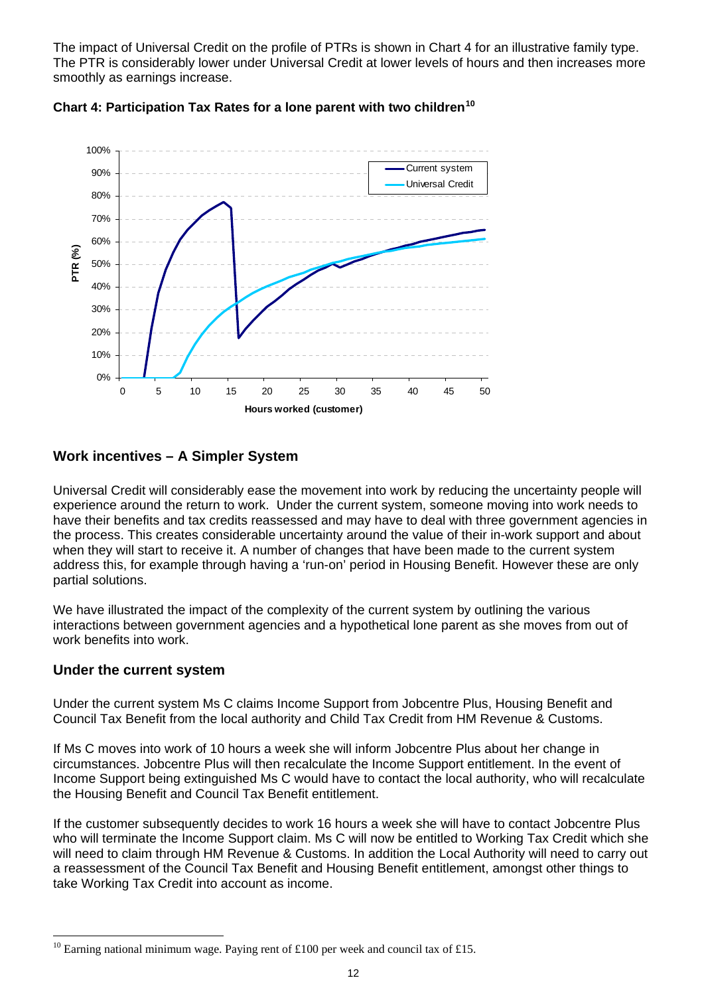The impact of Universal Credit on the profile of PTRs is shown in Chart 4 for an illustrative family type. The PTR is considerably lower under Universal Credit at lower levels of hours and then increases more smoothly as earnings increase.



**Chart 4: Participation Tax Rates for a lone parent with two children[10](#page-11-0)**

#### **Work incentives – A Simpler System**

Universal Credit will considerably ease the movement into work by reducing the uncertainty people will experience around the return to work. Under the current system, someone moving into work needs to have their benefits and tax credits reassessed and may have to deal with three government agencies in the process. This creates considerable uncertainty around the value of their in-work support and about when they will start to receive it. A number of changes that have been made to the current system address this, for example through having a 'run-on' period in Housing Benefit. However these are only partial solutions.

We have illustrated the impact of the complexity of the current system by outlining the various interactions between government agencies and a hypothetical lone parent as she moves from out of work benefits into work.

#### **Under the current system**

1

Under the current system Ms C claims Income Support from Jobcentre Plus, Housing Benefit and Council Tax Benefit from the local authority and Child Tax Credit from HM Revenue & Customs.

If Ms C moves into work of 10 hours a week she will inform Jobcentre Plus about her change in circumstances. Jobcentre Plus will then recalculate the Income Support entitlement. In the event of Income Support being extinguished Ms C would have to contact the local authority, who will recalculate the Housing Benefit and Council Tax Benefit entitlement.

If the customer subsequently decides to work 16 hours a week she will have to contact Jobcentre Plus who will terminate the Income Support claim. Ms C will now be entitled to Working Tax Credit which she will need to claim through HM Revenue & Customs. In addition the Local Authority will need to carry out a reassessment of the Council Tax Benefit and Housing Benefit entitlement, amongst other things to take Working Tax Credit into account as income.

<span id="page-11-0"></span><sup>&</sup>lt;sup>10</sup> Earning national minimum wage. Paying rent of £100 per week and council tax of £15.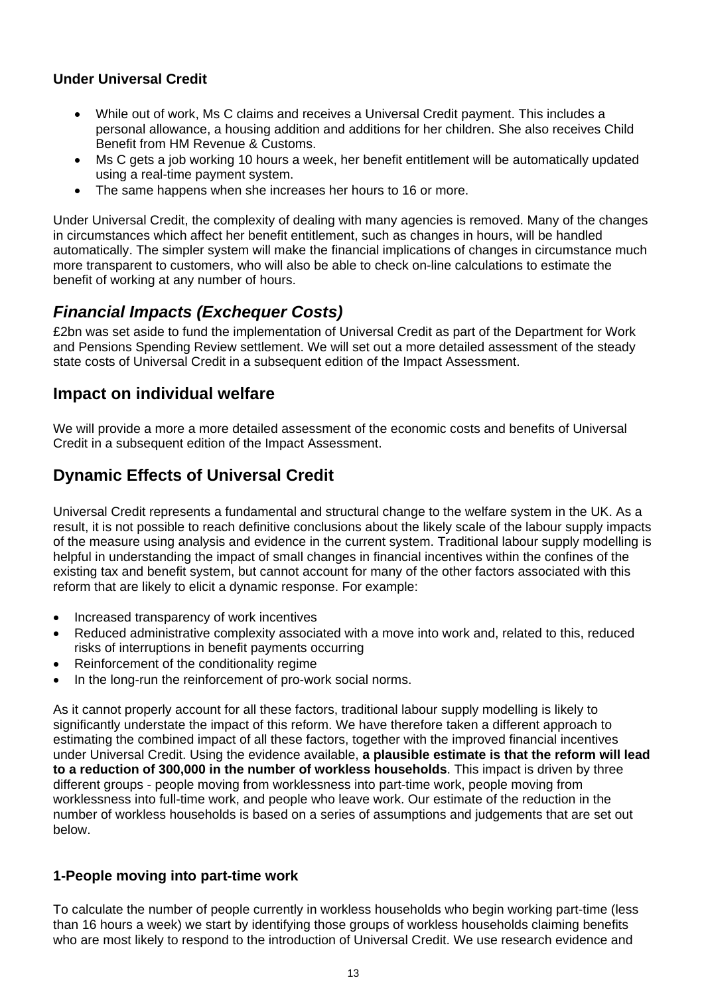#### **Under Universal Credit**

- While out of work, Ms C claims and receives a Universal Credit payment. This includes a personal allowance, a housing addition and additions for her children. She also receives Child Benefit from HM Revenue & Customs.
- Ms C gets a job working 10 hours a week, her benefit entitlement will be automatically updated using a real-time payment system.
- The same happens when she increases her hours to 16 or more.

Under Universal Credit, the complexity of dealing with many agencies is removed. Many of the changes in circumstances which affect her benefit entitlement, such as changes in hours, will be handled automatically. The simpler system will make the financial implications of changes in circumstance much more transparent to customers, who will also be able to check on-line calculations to estimate the benefit of working at any number of hours.

### *Financial Impacts (Exchequer Costs)*

£2bn was set aside to fund the implementation of Universal Credit as part of the Department for Work and Pensions Spending Review settlement. We will set out a more detailed assessment of the steady state costs of Universal Credit in a subsequent edition of the Impact Assessment.

#### **Impact on individual welfare**

We will provide a more a more detailed assessment of the economic costs and benefits of Universal Credit in a subsequent edition of the Impact Assessment.

### **Dynamic Effects of Universal Credit**

Universal Credit represents a fundamental and structural change to the welfare system in the UK. As a result, it is not possible to reach definitive conclusions about the likely scale of the labour supply impacts of the measure using analysis and evidence in the current system. Traditional labour supply modelling is helpful in understanding the impact of small changes in financial incentives within the confines of the existing tax and benefit system, but cannot account for many of the other factors associated with this reform that are likely to elicit a dynamic response. For example:

- Increased transparency of work incentives
- Reduced administrative complexity associated with a move into work and, related to this, reduced risks of interruptions in benefit payments occurring
- Reinforcement of the conditionality regime
- In the long-run the reinforcement of pro-work social norms.

As it cannot properly account for all these factors, traditional labour supply modelling is likely to significantly understate the impact of this reform. We have therefore taken a different approach to estimating the combined impact of all these factors, together with the improved financial incentives under Universal Credit. Using the evidence available, **a plausible estimate is that the reform will lead to a reduction of 300,000 in the number of workless households**. This impact is driven by three different groups - people moving from worklessness into part-time work, people moving from worklessness into full-time work, and people who leave work. Our estimate of the reduction in the number of workless households is based on a series of assumptions and judgements that are set out below.

#### **1-People moving into part-time work**

To calculate the number of people currently in workless households who begin working part-time (less than 16 hours a week) we start by identifying those groups of workless households claiming benefits who are most likely to respond to the introduction of Universal Credit. We use research evidence and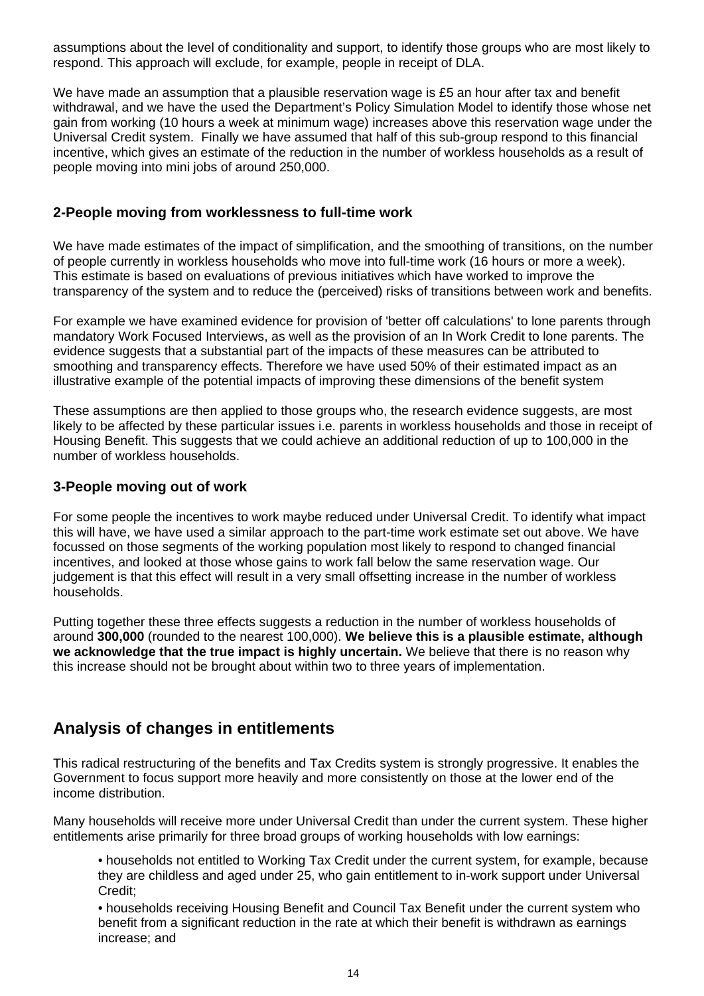assumptions about the level of conditionality and support, to identify those groups who are most likely to respond. This approach will exclude, for example, people in receipt of DLA.

We have made an assumption that a plausible reservation wage is £5 an hour after tax and benefit withdrawal, and we have the used the Department's Policy Simulation Model to identify those whose net gain from working (10 hours a week at minimum wage) increases above this reservation wage under the Universal Credit system. Finally we have assumed that half of this sub-group respond to this financial incentive, which gives an estimate of the reduction in the number of workless households as a result of people moving into mini jobs of around 250,000.

#### **2-People moving from worklessness to full-time work**

We have made estimates of the impact of simplification, and the smoothing of transitions, on the number of people currently in workless households who move into full-time work (16 hours or more a week). This estimate is based on evaluations of previous initiatives which have worked to improve the transparency of the system and to reduce the (perceived) risks of transitions between work and benefits.

For example we have examined evidence for provision of 'better off calculations' to lone parents through mandatory Work Focused Interviews, as well as the provision of an In Work Credit to lone parents. The evidence suggests that a substantial part of the impacts of these measures can be attributed to smoothing and transparency effects. Therefore we have used 50% of their estimated impact as an illustrative example of the potential impacts of improving these dimensions of the benefit system

These assumptions are then applied to those groups who, the research evidence suggests, are most likely to be affected by these particular issues i.e. parents in workless households and those in receipt of Housing Benefit. This suggests that we could achieve an additional reduction of up to 100,000 in the number of workless households.

#### **3-People moving out of work**

For some people the incentives to work maybe reduced under Universal Credit. To identify what impact this will have, we have used a similar approach to the part-time work estimate set out above. We have focussed on those segments of the working population most likely to respond to changed financial incentives, and looked at those whose gains to work fall below the same reservation wage. Our judgement is that this effect will result in a very small offsetting increase in the number of workless households.

Putting together these three effects suggests a reduction in the number of workless households of around **300,000** (rounded to the nearest 100,000). **We believe this is a plausible estimate, although we acknowledge that the true impact is highly uncertain.** We believe that there is no reason why this increase should not be brought about within two to three years of implementation.

### **Analysis of changes in entitlements**

This radical restructuring of the benefits and Tax Credits system is strongly progressive. It enables the Government to focus support more heavily and more consistently on those at the lower end of the income distribution.

Many households will receive more under Universal Credit than under the current system. These higher entitlements arise primarily for three broad groups of working households with low earnings:

• households not entitled to Working Tax Credit under the current system, for example, because they are childless and aged under 25, who gain entitlement to in-work support under Universal Credit;

• households receiving Housing Benefit and Council Tax Benefit under the current system who benefit from a significant reduction in the rate at which their benefit is withdrawn as earnings increase; and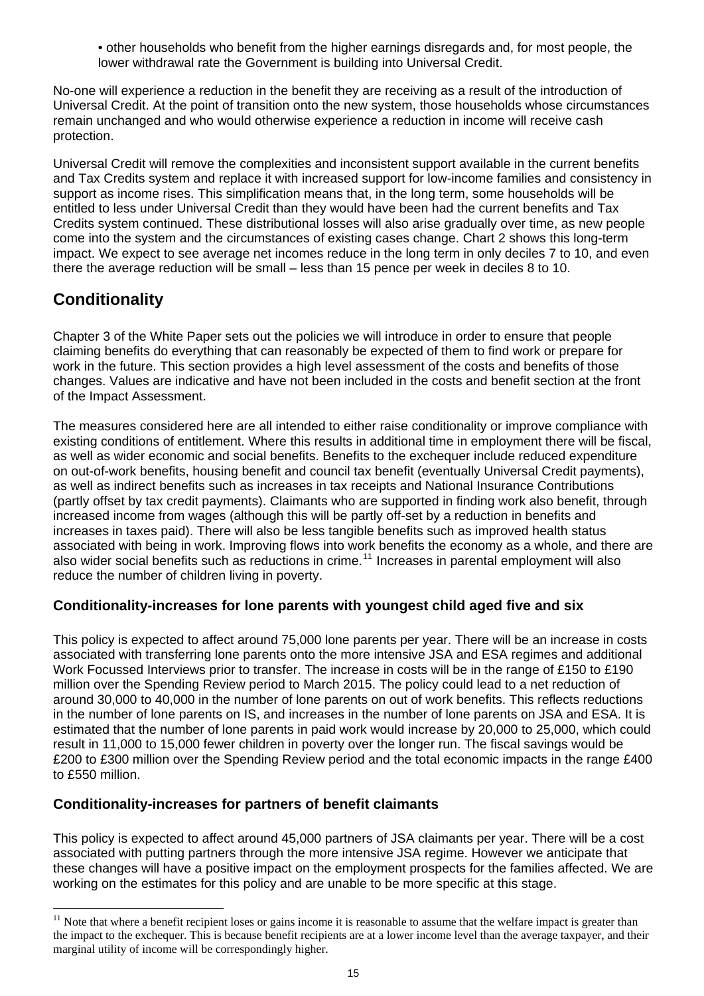• other households who benefit from the higher earnings disregards and, for most people, the lower withdrawal rate the Government is building into Universal Credit.

No-one will experience a reduction in the benefit they are receiving as a result of the introduction of Universal Credit. At the point of transition onto the new system, those households whose circumstances remain unchanged and who would otherwise experience a reduction in income will receive cash protection.

Universal Credit will remove the complexities and inconsistent support available in the current benefits and Tax Credits system and replace it with increased support for low-income families and consistency in support as income rises. This simplification means that, in the long term, some households will be entitled to less under Universal Credit than they would have been had the current benefits and Tax Credits system continued. These distributional losses will also arise gradually over time, as new people come into the system and the circumstances of existing cases change. Chart 2 shows this long-term impact. We expect to see average net incomes reduce in the long term in only deciles 7 to 10, and even there the average reduction will be small – less than 15 pence per week in deciles 8 to 10.

### **Conditionality**

1

Chapter 3 of the White Paper sets out the policies we will introduce in order to ensure that people claiming benefits do everything that can reasonably be expected of them to find work or prepare for work in the future. This section provides a high level assessment of the costs and benefits of those changes. Values are indicative and have not been included in the costs and benefit section at the front of the Impact Assessment.

The measures considered here are all intended to either raise conditionality or improve compliance with existing conditions of entitlement. Where this results in additional time in employment there will be fiscal, as well as wider economic and social benefits. Benefits to the exchequer include reduced expenditure on out-of-work benefits, housing benefit and council tax benefit (eventually Universal Credit payments), as well as indirect benefits such as increases in tax receipts and National Insurance Contributions (partly offset by tax credit payments). Claimants who are supported in finding work also benefit, through increased income from wages (although this will be partly off-set by a reduction in benefits and increases in taxes paid). There will also be less tangible benefits such as improved health status associated with being in work. Improving flows into work benefits the economy as a whole, and there are also wider social benefits such as reductions in crime.[11](#page-14-0) Increases in parental employment will also reduce the number of children living in poverty.

#### **Conditionality-increases for lone parents with youngest child aged five and six**

This policy is expected to affect around 75,000 lone parents per year. There will be an increase in costs associated with transferring lone parents onto the more intensive JSA and ESA regimes and additional Work Focussed Interviews prior to transfer. The increase in costs will be in the range of £150 to £190 million over the Spending Review period to March 2015. The policy could lead to a net reduction of around 30,000 to 40,000 in the number of lone parents on out of work benefits. This reflects reductions in the number of lone parents on IS, and increases in the number of lone parents on JSA and ESA. It is estimated that the number of lone parents in paid work would increase by 20,000 to 25,000, which could result in 11,000 to 15,000 fewer children in poverty over the longer run. The fiscal savings would be £200 to £300 million over the Spending Review period and the total economic impacts in the range £400 to £550 million.

#### **Conditionality-increases for partners of benefit claimants**

This policy is expected to affect around 45,000 partners of JSA claimants per year. There will be a cost associated with putting partners through the more intensive JSA regime. However we anticipate that these changes will have a positive impact on the employment prospects for the families affected. We are working on the estimates for this policy and are unable to be more specific at this stage.

<span id="page-14-0"></span> $11$  Note that where a benefit recipient loses or gains income it is reasonable to assume that the welfare impact is greater than the impact to the exchequer. This is because benefit recipients are at a lower income level than the average taxpayer, and their marginal utility of income will be correspondingly higher.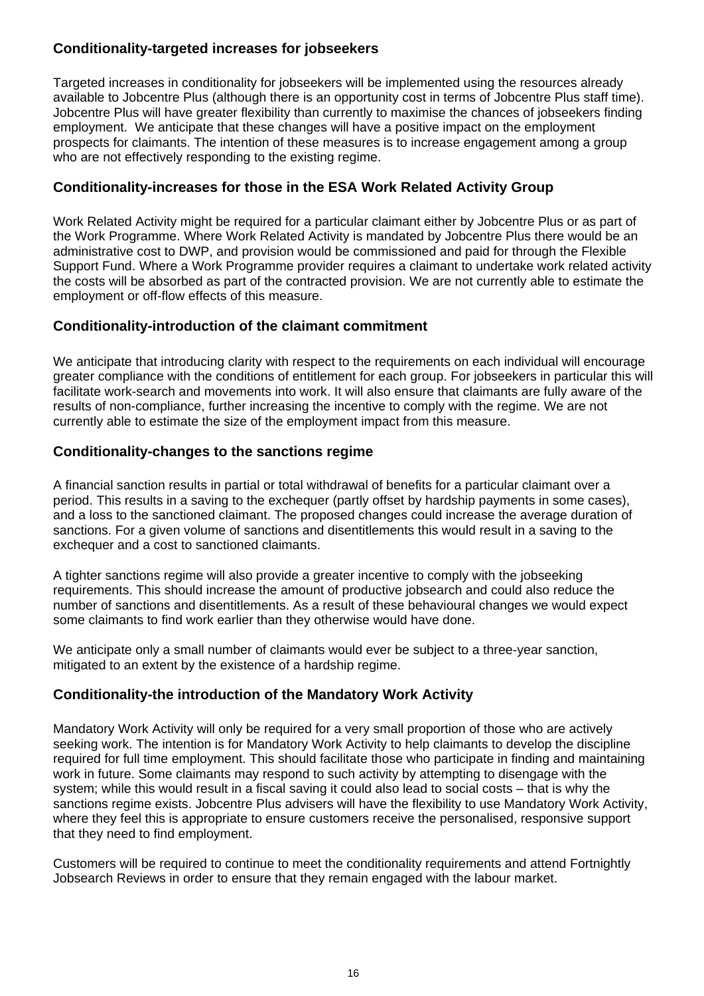#### **Conditionality-targeted increases for jobseekers**

Targeted increases in conditionality for jobseekers will be implemented using the resources already available to Jobcentre Plus (although there is an opportunity cost in terms of Jobcentre Plus staff time). Jobcentre Plus will have greater flexibility than currently to maximise the chances of jobseekers finding employment. We anticipate that these changes will have a positive impact on the employment prospects for claimants. The intention of these measures is to increase engagement among a group who are not effectively responding to the existing regime.

#### **Conditionality-increases for those in the ESA Work Related Activity Group**

Work Related Activity might be required for a particular claimant either by Jobcentre Plus or as part of the Work Programme. Where Work Related Activity is mandated by Jobcentre Plus there would be an administrative cost to DWP, and provision would be commissioned and paid for through the Flexible Support Fund. Where a Work Programme provider requires a claimant to undertake work related activity the costs will be absorbed as part of the contracted provision. We are not currently able to estimate the employment or off-flow effects of this measure.

#### **Conditionality-introduction of the claimant commitment**

We anticipate that introducing clarity with respect to the requirements on each individual will encourage greater compliance with the conditions of entitlement for each group. For jobseekers in particular this will facilitate work-search and movements into work. It will also ensure that claimants are fully aware of the results of non-compliance, further increasing the incentive to comply with the regime. We are not currently able to estimate the size of the employment impact from this measure.

#### **Conditionality-changes to the sanctions regime**

A financial sanction results in partial or total withdrawal of benefits for a particular claimant over a period. This results in a saving to the exchequer (partly offset by hardship payments in some cases), and a loss to the sanctioned claimant. The proposed changes could increase the average duration of sanctions. For a given volume of sanctions and disentitlements this would result in a saving to the exchequer and a cost to sanctioned claimants.

A tighter sanctions regime will also provide a greater incentive to comply with the jobseeking requirements. This should increase the amount of productive jobsearch and could also reduce the number of sanctions and disentitlements. As a result of these behavioural changes we would expect some claimants to find work earlier than they otherwise would have done.

We anticipate only a small number of claimants would ever be subject to a three-year sanction, mitigated to an extent by the existence of a hardship regime.

#### **Conditionality-the introduction of the Mandatory Work Activity**

Mandatory Work Activity will only be required for a very small proportion of those who are actively seeking work. The intention is for Mandatory Work Activity to help claimants to develop the discipline required for full time employment. This should facilitate those who participate in finding and maintaining work in future. Some claimants may respond to such activity by attempting to disengage with the system; while this would result in a fiscal saving it could also lead to social costs – that is why the sanctions regime exists. Jobcentre Plus advisers will have the flexibility to use Mandatory Work Activity, where they feel this is appropriate to ensure customers receive the personalised, responsive support that they need to find employment.

Customers will be required to continue to meet the conditionality requirements and attend Fortnightly Jobsearch Reviews in order to ensure that they remain engaged with the labour market.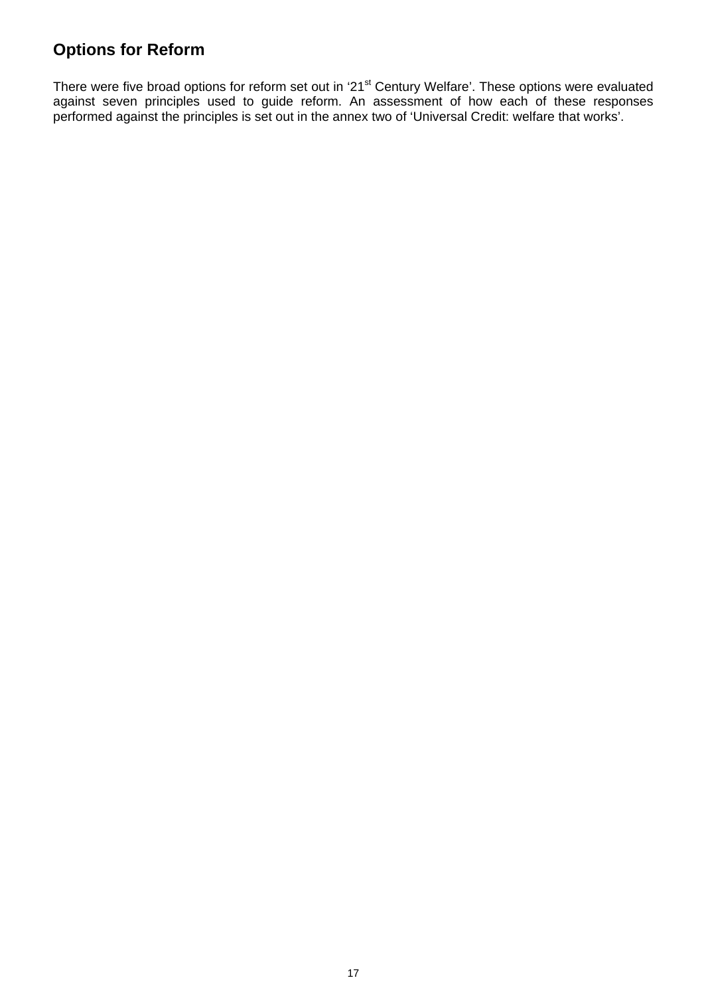## **Options for Reform**

There were five broad options for reform set out in '21<sup>st</sup> Century Welfare'. These options were evaluated against seven principles used to guide reform. An assessment of how each of these responses performed against the principles is set out in the annex two of 'Universal Credit: welfare that works'.